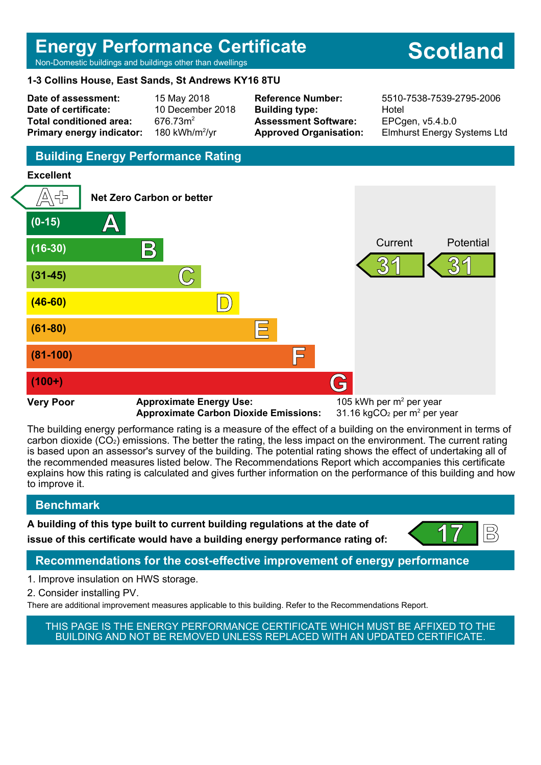# **Energy Performance Certificate**

Non-Domestic buildings and buildings other than dwellings

#### **1-3 Collins House, East Sands, St Andrews KY16 8TU**

**Date of assessment:** 15 May 2018 **Date of certificate:** 10 December 2018 Total conditioned area: 676.73m<sup>2</sup> **Primary energy indicator:** 

180 kWh/m $^2$ /vr

**Building type:** Hotel **Assessment Software:** EPCgen, v5.4.b.0

**Reference Number:** 5510-7538-7539-2795-2006 **Approved Organisation:** Elmhurst Energy Systems Ltd

# **Building Energy Performance Rating**

#### **Excellent**



**Approximate Carbon Dioxide Emissions:** 

 $31.16$  kgCO<sub>2</sub> per m<sup>2</sup> per vear

The building energy performance rating is a measure of the effect of a building on the environment in terms of carbon dioxide (CO2) emissions. The better the rating, the less impact on the environment. The current rating is based upon an assessor's survey of the building. The potential rating shows the effect of undertaking all of the recommended measures listed below. The Recommendations Report which accompanies this certificate explains how this rating is calculated and gives further information on the performance of this building and how to improve it.

# **Benchmark**

**A building of this type built to current building regulations at the date of**

**issue of this certificate would have a building energy performance rating of:**  $\left\{\n\begin{array}{ccc}\n17 \\
\end{array}\n\right\}$ 



# **Recommendations for the cost-effective improvement of energy performance**

- 1. Improve insulation on HWS storage.
- 2. Consider installing PV.

There are additional improvement measures applicable to this building. Refer to the Recommendations Report.



# **Scotland**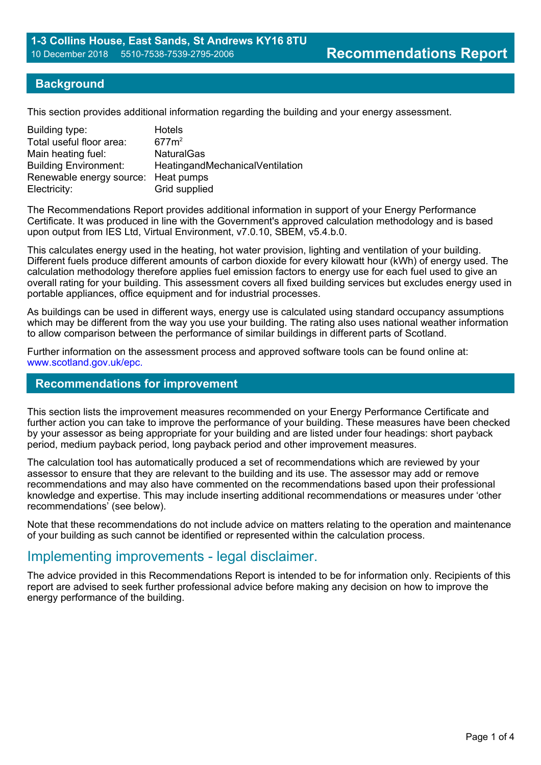#### **Background**

This section provides additional information regarding the building and your energy assessment.

| Building type:                      | <b>Hotels</b>                   |
|-------------------------------------|---------------------------------|
| Total useful floor area:            | 677m <sup>2</sup>               |
| Main heating fuel:                  | <b>NaturalGas</b>               |
| <b>Building Environment:</b>        | HeatingandMechanicalVentilation |
| Renewable energy source: Heat pumps |                                 |
| Electricity:                        | Grid supplied                   |

The Recommendations Report provides additional information in support of your Energy Performance Certificate. It was produced in line with the Government's approved calculation methodology and is based upon output from IES Ltd, Virtual Environment, v7.0.10, SBEM, v5.4.b.0.

This calculates energy used in the heating, hot water provision, lighting and ventilation of your building. Different fuels produce different amounts of carbon dioxide for every kilowatt hour (kWh) of energy used. The calculation methodology therefore applies fuel emission factors to energy use for each fuel used to give an overall rating for your building. This assessment covers all fixed building services but excludes energy used in portable appliances, office equipment and for industrial processes.

As buildings can be used in different ways, energy use is calculated using standard occupancy assumptions which may be different from the way you use your building. The rating also uses national weather information to allow comparison between the performance of similar buildings in different parts of Scotland.

Further information on the assessment process and approved software tools can be found online at: www.scotland.gov.uk/epc.

#### **Recommendations for improvement**

This section lists the improvement measures recommended on your Energy Performance Certificate and further action you can take to improve the performance of your building. These measures have been checked by your assessor as being appropriate for your building and are listed under four headings: short payback period, medium payback period, long payback period and other improvement measures.

The calculation tool has automatically produced a set of recommendations which are reviewed by your assessor to ensure that they are relevant to the building and its use. The assessor may add or remove recommendations and may also have commented on the recommendations based upon their professional knowledge and expertise. This may include inserting additional recommendations or measures under 'other recommendations' (see below).

Note that these recommendations do not include advice on matters relating to the operation and maintenance of your building as such cannot be identified or represented within the calculation process.

# Implementing improvements - legal disclaimer.

The advice provided in this Recommendations Report is intended to be for information only. Recipients of this report are advised to seek further professional advice before making any decision on how to improve the energy performance of the building.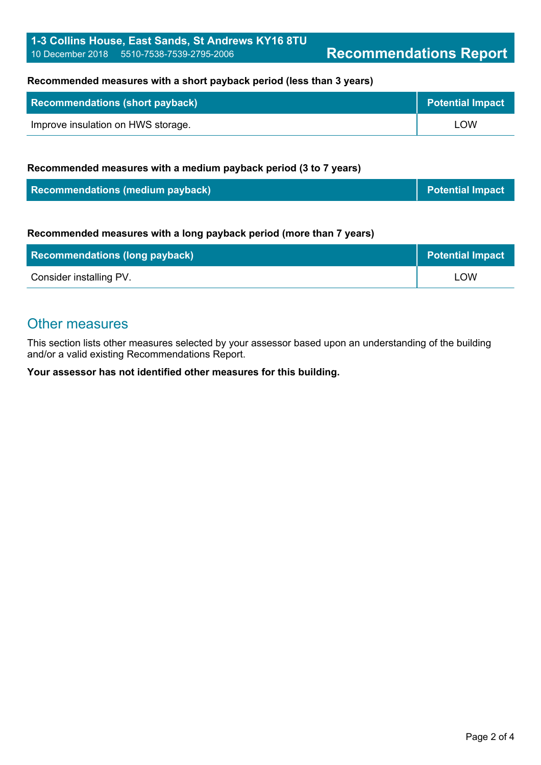#### **Recommended measures with a short payback period (less than 3 years)**

| Recommendations (short payback)    | <b>Potential Impact</b> |
|------------------------------------|-------------------------|
| Improve insulation on HWS storage. | LOW                     |

#### **Recommended measures with a medium payback period (3 to 7 years)**

| <b>Recommendations (medium payback)</b> | <b>Potential Impact</b> |
|-----------------------------------------|-------------------------|
|-----------------------------------------|-------------------------|

#### **Recommended measures with a long payback period (more than 7 years)**

| <b>Recommendations (long payback)</b> | <b>Potential Impact</b> |
|---------------------------------------|-------------------------|
| Consider installing PV.               | ∟OW                     |

# Other measures

This section lists other measures selected by your assessor based upon an understanding of the building and/or a valid existing Recommendations Report.

**Your assessor has not identified other measures for this building.**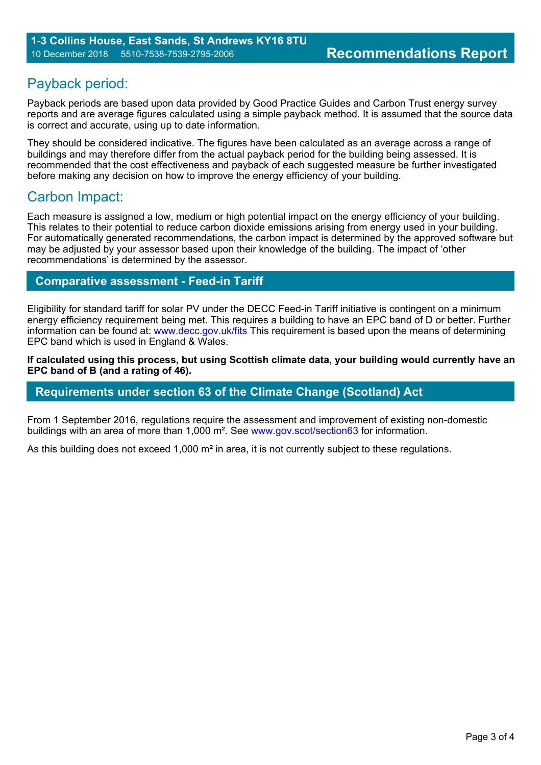# Payback period:

Payback periods are based upon data provided by Good Practice Guides and Carbon Trust energy survey reports and are average figures calculated using a simple payback method. It is assumed that the source data is correct and accurate, using up to date information.

They should be considered indicative. The figures have been calculated as an average across a range of buildings and may therefore differ from the actual payback period for the building being assessed. It is recommended that the cost effectiveness and payback of each suggested measure be further investigated before making any decision on how to improve the energy efficiency of your building.

# Carbon Impact:

Each measure is assigned a low, medium or high potential impact on the energy efficiency of your building. This relates to their potential to reduce carbon dioxide emissions arising from energy used in your building. For automatically generated recommendations, the carbon impact is determined by the approved software but may be adjusted by your assessor based upon their knowledge of the building. The impact of 'other recommendations' is determined by the assessor.

### **Comparative assessment - Feed-in Tariff**

Eligibility for standard tariff for solar PV under the DECC Feed-in Tariff initiative is contingent on a minimum energy efficiency requirement being met. This requires a building to have an EPC band of D or better. Further information can be found at: www.decc.gov.uk/fits This requirement is based upon the means of determining EPC band which is used in England & Wales.

**If calculated using this process, but using Scottish climate data, your building would currently have an EPC band of B (and a rating of 46).**

#### **Requirements under section 63 of the Climate Change (Scotland) Act**

From 1 September 2016, regulations require the assessment and improvement of existing non-domestic buildings with an area of more than 1,000 m². See www.gov.scot/section63 for information.

As this building does not exceed 1,000 m<sup>2</sup> in area, it is not currently subject to these regulations.